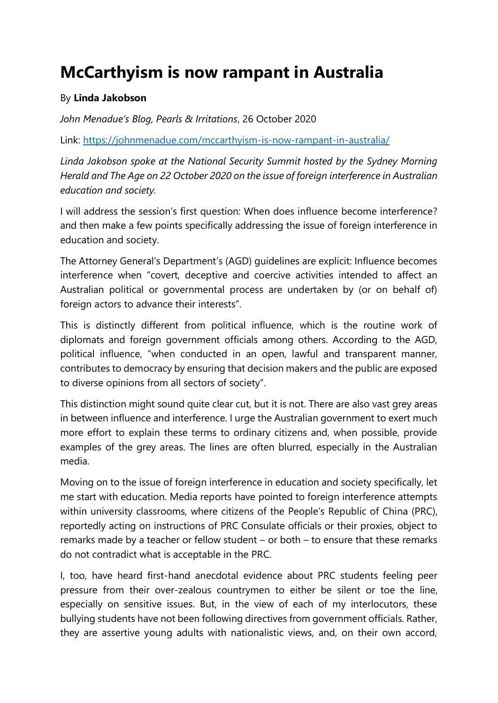## **McCarthyism is now rampant in Australia**

## By **Linda Jakobson**

*John Menadue's Blog, Pearls & Irritations*, 26 October 2020

Link:<https://johnmenadue.com/mccarthyism-is-now-rampant-in-australia/>

*Linda Jakobson spoke at the National Security Summit hosted by the Sydney Morning Herald and The Age on 22 October 2020 on the issue of foreign interference in Australian education and society.* 

I will address the session's first question: When does influence become interference? and then make a few points specifically addressing the issue of foreign interference in education and society.

The Attorney General's Department's (AGD) guidelines are explicit: Influence becomes interference when "covert, deceptive and coercive activities intended to affect an Australian political or governmental process are undertaken by (or on behalf of) foreign actors to advance their interests".

This is distinctly different from political influence, which is the routine work of diplomats and foreign government officials among others. According to the AGD, political influence, "when conducted in an open, lawful and transparent manner, contributes to democracy by ensuring that decision makers and the public are exposed to diverse opinions from all sectors of society".

This distinction might sound quite clear cut, but it is not. There are also vast grey areas in between influence and interference. I urge the Australian government to exert much more effort to explain these terms to ordinary citizens and, when possible, provide examples of the grey areas. The lines are often blurred, especially in the Australian media.

Moving on to the issue of foreign interference in education and society specifically, let me start with education. Media reports have pointed to foreign interference attempts within university classrooms, where citizens of the People's Republic of China (PRC), reportedly acting on instructions of PRC Consulate officials or their proxies, object to remarks made by a teacher or fellow student – or both – to ensure that these remarks do not contradict what is acceptable in the PRC.

I, too, have heard first-hand anecdotal evidence about PRC students feeling peer pressure from their over-zealous countrymen to either be silent or toe the line, especially on sensitive issues. But, in the view of each of my interlocutors, these bullying students have not been following directives from government officials. Rather, they are assertive young adults with nationalistic views, and, on their own accord,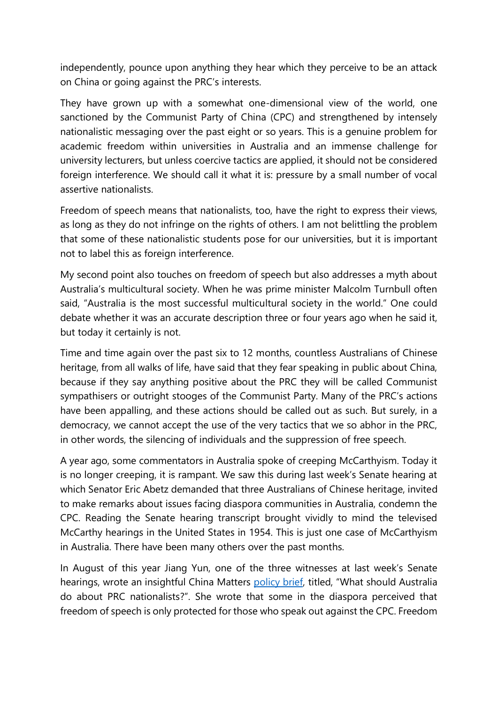independently, pounce upon anything they hear which they perceive to be an attack on China or going against the PRC's interests.

They have grown up with a somewhat one-dimensional view of the world, one sanctioned by the Communist Party of China (CPC) and strengthened by intensely nationalistic messaging over the past eight or so years. This is a genuine problem for academic freedom within universities in Australia and an immense challenge for university lecturers, but unless coercive tactics are applied, it should not be considered foreign interference. We should call it what it is: pressure by a small number of vocal assertive nationalists.

Freedom of speech means that nationalists, too, have the right to express their views, as long as they do not infringe on the rights of others. I am not belittling the problem that some of these nationalistic students pose for our universities, but it is important not to label this as foreign interference.

My second point also touches on freedom of speech but also addresses a myth about Australia's multicultural society. When he was prime minister Malcolm Turnbull often said, "Australia is the most successful multicultural society in the world." One could debate whether it was an accurate description three or four years ago when he said it, but today it certainly is not.

Time and time again over the past six to 12 months, countless Australians of Chinese heritage, from all walks of life, have said that they fear speaking in public about China, because if they say anything positive about the PRC they will be called Communist sympathisers or outright stooges of the Communist Party. Many of the PRC's actions have been appalling, and these actions should be called out as such. But surely, in a democracy, we cannot accept the use of the very tactics that we so abhor in the PRC, in other words, the silencing of individuals and the suppression of free speech.

A year ago, some commentators in Australia spoke of creeping McCarthyism. Today it is no longer creeping, it is rampant. We saw this during last week's Senate hearing at which Senator Eric Abetz demanded that three Australians of Chinese heritage, invited to make remarks about issues facing diaspora communities in Australia, condemn the CPC. Reading the Senate hearing transcript brought vividly to mind the televised McCarthy hearings in the United States in 1954. This is just one case of McCarthyism in Australia. There have been many others over the past months.

In August of this year Jiang Yun, one of the three witnesses at last week's Senate hearings, wrote an insightful China Matters [policy brief](http://chinamatters.org.au/policy-brief/policy-brief-august-2020/), titled, "What should Australia do about PRC nationalists?". She wrote that some in the diaspora perceived that freedom of speech is only protected for those who speak out against the CPC. Freedom